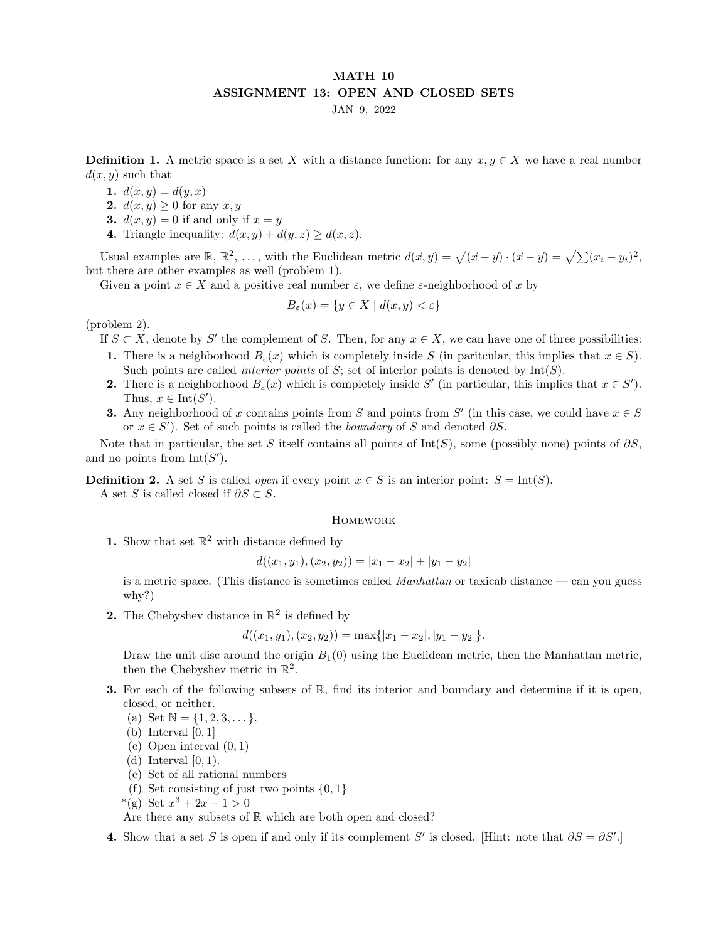## MATH 10 ASSIGNMENT 13: OPEN AND CLOSED SETS

JAN 9, 2022

**Definition 1.** A metric space is a set X with a distance function: for any  $x, y \in X$  we have a real number  $d(x, y)$  such that

1.  $d(x, y) = d(y, x)$ 

- 2.  $d(x, y) \geq 0$  for any  $x, y$
- 3.  $d(x, y) = 0$  if and only if  $x = y$
- 4. Triangle inequality:  $d(x, y) + d(y, z) \geq d(x, z)$ .

Usual examples are  $\mathbb{R}, \mathbb{R}^2, \ldots$ , with the Euclidean metric  $d(\vec{x}, \vec{y}) = \sqrt{(\vec{x} - \vec{y}) \cdot (\vec{x} - \vec{y})} = \sqrt{\sum (x_i - y_i)^2}$ , but there are other examples as well (problem 1).

Given a point  $x \in X$  and a positive real number  $\varepsilon$ , we define  $\varepsilon$ -neighborhood of x by

$$
B_{\varepsilon}(x) = \{ y \in X \mid d(x, y) < \varepsilon \}
$$

(problem 2).

- If  $S \subset X$ , denote by S' the complement of S. Then, for any  $x \in X$ , we can have one of three possibilities:
- 1. There is a neighborhood  $B_{\varepsilon}(x)$  which is completely inside S (in paritcular, this implies that  $x \in S$ ). Such points are called *interior points* of  $S$ ; set of interior points is denoted by  $Int(S)$ .
- **2.** There is a neighborhood  $B_{\varepsilon}(x)$  which is completely inside S' (in particular, this implies that  $x \in S'$ ). Thus,  $x \in \text{Int}(S')$ .
- **3.** Any neighborhood of x contains points from S and points from S' (in this case, we could have  $x \in S$ or  $x \in S'$ ). Set of such points is called the *boundary* of S and denoted  $\partial S$ .

Note that in particular, the set S itself contains all points of Int(S), some (possibly none) points of  $\partial S$ , and no points from  $Int(S')$ .

**Definition 2.** A set S is called *open* if every point  $x \in S$  is an interior point:  $S = \text{Int}(S)$ .

A set S is called closed if  $\partial S \subset S$ .

## **HOMEWORK**

1. Show that set  $\mathbb{R}^2$  with distance defined by

$$
d((x_1, y_1), (x_2, y_2)) = |x_1 - x_2| + |y_1 - y_2|
$$

is a metric space. (This distance is sometimes called *Manhattan* or taxicab distance — can you guess why?)

**2.** The Chebyshev distance in  $\mathbb{R}^2$  is defined by

$$
d((x_1, y_1), (x_2, y_2)) = \max\{|x_1 - x_2|, |y_1 - y_2|\}.
$$

Draw the unit disc around the origin  $B_1(0)$  using the Euclidean metric, then the Manhattan metric, then the Chebyshev metric in  $\mathbb{R}^2$ .

- **3.** For each of the following subsets of  $\mathbb{R}$ , find its interior and boundary and determine if it is open, closed, or neither.
	- (a) Set  $\mathbb{N} = \{1, 2, 3, \dots\}.$
	- (b) Interval  $[0, 1]$
	- $(c)$  Open interval  $(0, 1)$
	- (d) Interval  $[0, 1)$ .
	- (e) Set of all rational numbers
	- (f) Set consisting of just two points  $\{0, 1\}$
	- \*(g) Set  $x^3 + 2x + 1 > 0$

Are there any subsets of  $\mathbb R$  which are both open and closed?

4. Show that a set S is open if and only if its complement S' is closed. [Hint: note that  $\partial S = \partial S'$ .]